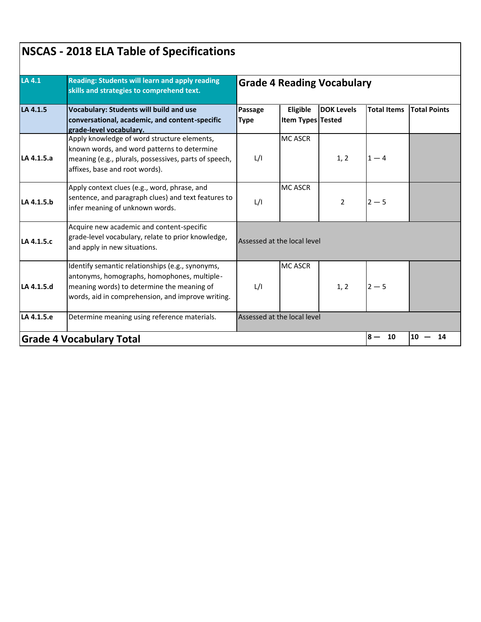| LA 4.1     | <b>Reading: Students will learn and apply reading</b><br>skills and strategies to comprehend text.<br><b>Vocabulary: Students will build and use</b><br>conversational, academic, and content-specific<br>grade-level vocabulary. | <b>Grade 4 Reading Vocabulary</b> |                               |                   |                    |                     |  |
|------------|-----------------------------------------------------------------------------------------------------------------------------------------------------------------------------------------------------------------------------------|-----------------------------------|-------------------------------|-------------------|--------------------|---------------------|--|
| LA 4.1.5   |                                                                                                                                                                                                                                   | Passage<br><b>Type</b>            | Eligible<br>Item Types Tested | <b>DOK Levels</b> | <b>Total Items</b> | <b>Total Points</b> |  |
| LA 4.1.5.a | Apply knowledge of word structure elements,<br>known words, and word patterns to determine<br>meaning (e.g., plurals, possessives, parts of speech,<br>affixes, base and root words).                                             | L/I                               | <b>MC ASCR</b>                | 1, 2              | $1 - 4$            |                     |  |
| LA 4.1.5.b | Apply context clues (e.g., word, phrase, and<br>sentence, and paragraph clues) and text features to<br>infer meaning of unknown words.                                                                                            | L/I                               | <b>MC ASCR</b>                | $\overline{2}$    | $2 - 5$            |                     |  |
| LA 4.1.5.c | Acquire new academic and content-specific<br>grade-level vocabulary, relate to prior knowledge,<br>and apply in new situations.                                                                                                   | Assessed at the local level       |                               |                   |                    |                     |  |
| LA 4.1.5.d | Identify semantic relationships (e.g., synonyms,<br>antonyms, homographs, homophones, multiple-<br>meaning words) to determine the meaning of<br>words, aid in comprehension, and improve writing.                                | L/I                               | <b>MC ASCR</b>                | 1, 2              | $2 - 5$            |                     |  |
| LA 4.1.5.e | Determine meaning using reference materials.                                                                                                                                                                                      |                                   | Assessed at the local level   |                   |                    |                     |  |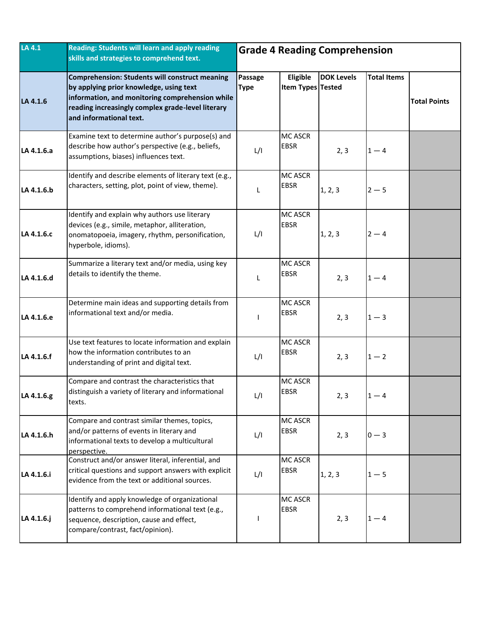| LA 4.1     | Reading: Students will learn and apply reading<br>skills and strategies to comprehend text.                                                                                                                                         | <b>Grade 4 Reading Comprehension</b> |                               |                   |                    |                     |
|------------|-------------------------------------------------------------------------------------------------------------------------------------------------------------------------------------------------------------------------------------|--------------------------------------|-------------------------------|-------------------|--------------------|---------------------|
| LA 4.1.6   | <b>Comprehension: Students will construct meaning</b><br>by applying prior knowledge, using text<br>information, and monitoring comprehension while<br>reading increasingly complex grade-level literary<br>and informational text. | Passage<br><b>Type</b>               | Eligible<br>Item Types Tested | <b>DOK Levels</b> | <b>Total Items</b> | <b>Total Points</b> |
| LA 4.1.6.a | Examine text to determine author's purpose(s) and<br>describe how author's perspective (e.g., beliefs,<br>assumptions, biases) influences text.                                                                                     | L/I                                  | <b>MC ASCR</b><br><b>EBSR</b> | 2, 3              | $1 - 4$            |                     |
| LA 4.1.6.b | Identify and describe elements of literary text (e.g.,<br>characters, setting, plot, point of view, theme).                                                                                                                         | L                                    | <b>MC ASCR</b><br><b>EBSR</b> | 1, 2, 3           | $2 - 5$            |                     |
| LA 4.1.6.c | Identify and explain why authors use literary<br>devices (e.g., simile, metaphor, alliteration,<br>onomatopoeia, imagery, rhythm, personification,<br>hyperbole, idioms).                                                           | L/I                                  | <b>MC ASCR</b><br><b>EBSR</b> | 1, 2, 3           | $2 - 4$            |                     |
| LA 4.1.6.d | Summarize a literary text and/or media, using key<br>details to identify the theme.                                                                                                                                                 | L                                    | <b>MC ASCR</b><br><b>EBSR</b> | 2, 3              | $1 - 4$            |                     |
| LA 4.1.6.e | Determine main ideas and supporting details from<br>informational text and/or media.                                                                                                                                                |                                      | <b>MC ASCR</b><br><b>EBSR</b> | 2, 3              | $1 - 3$            |                     |
| LA 4.1.6.f | Use text features to locate information and explain<br>how the information contributes to an<br>understanding of print and digital text.                                                                                            | L/I                                  | <b>MC ASCR</b><br><b>EBSR</b> | 2, 3              | $1 - 2$            |                     |
| LA 4.1.6.g | Compare and contrast the characteristics that<br>distinguish a variety of literary and informational<br>texts.                                                                                                                      | L/I                                  | <b>MC ASCR</b><br><b>EBSR</b> | 2, 3              | $1 - 4$            |                     |
| LA 4.1.6.h | Compare and contrast similar themes, topics,<br>and/or patterns of events in literary and<br>informational texts to develop a multicultural<br>perspective.                                                                         | L/I                                  | <b>MC ASCR</b><br><b>EBSR</b> | 2, 3              | $0 - 3$            |                     |
| LA 4.1.6.i | Construct and/or answer literal, inferential, and<br>critical questions and support answers with explicit<br>evidence from the text or additional sources.                                                                          | L/I                                  | <b>MC ASCR</b><br><b>EBSR</b> | 1, 2, 3           | $1-5$              |                     |
| LA 4.1.6.j | Identify and apply knowledge of organizational<br>patterns to comprehend informational text (e.g.,<br>sequence, description, cause and effect,<br>compare/contrast, fact/opinion).                                                  |                                      | <b>MC ASCR</b><br><b>EBSR</b> | 2, 3              | $1 - 4$            |                     |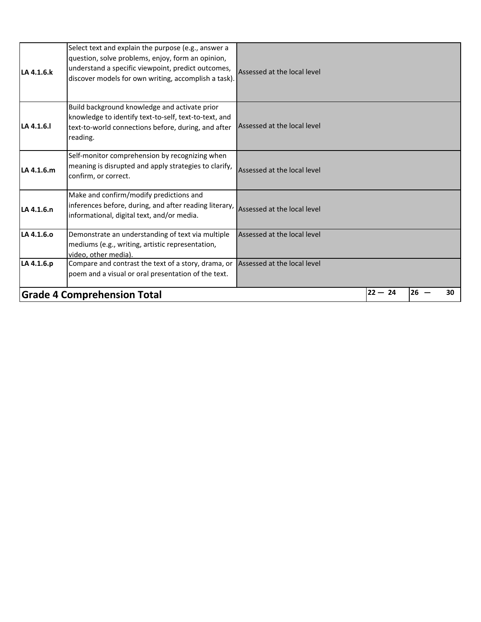|            | <b>Grade 4 Comprehension Total</b>                                                                                                                                                                                     |                             | $22 - 24$ | 26 | 30 |
|------------|------------------------------------------------------------------------------------------------------------------------------------------------------------------------------------------------------------------------|-----------------------------|-----------|----|----|
| LA 4.1.6.p | Compare and contrast the text of a story, drama, or<br>poem and a visual or oral presentation of the text.                                                                                                             | Assessed at the local level |           |    |    |
| LA 4.1.6.0 | Demonstrate an understanding of text via multiple<br>mediums (e.g., writing, artistic representation,<br>video, other media).                                                                                          | Assessed at the local level |           |    |    |
| LA 4.1.6.n | Make and confirm/modify predictions and<br>$\vert$ inferences before, during, and after reading literary, $\vert$ Assessed at the local level<br>informational, digital text, and/or media.                            |                             |           |    |    |
| LA 4.1.6.m | Self-monitor comprehension by recognizing when<br>meaning is disrupted and apply strategies to clarify,<br>confirm, or correct.                                                                                        | Assessed at the local level |           |    |    |
| LA 4.1.6.1 | Build background knowledge and activate prior<br>knowledge to identify text-to-self, text-to-text, and<br>text-to-world connections before, during, and after<br>reading.                                              | Assessed at the local level |           |    |    |
| LA 4.1.6.k | Select text and explain the purpose (e.g., answer a<br>question, solve problems, enjoy, form an opinion,<br>understand a specific viewpoint, predict outcomes,<br>discover models for own writing, accomplish a task). | Assessed at the local level |           |    |    |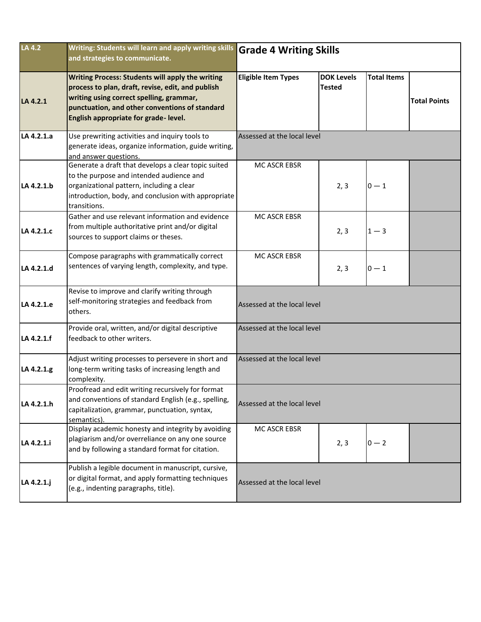| LA 4.2     | Writing: Students will learn and apply writing skills<br>and strategies to communicate.                                                                                                                                                     | <b>Grade 4 Writing Skills</b> |                                    |                    |                     |  |  |
|------------|---------------------------------------------------------------------------------------------------------------------------------------------------------------------------------------------------------------------------------------------|-------------------------------|------------------------------------|--------------------|---------------------|--|--|
| LA 4.2.1   | Writing Process: Students will apply the writing<br>process to plan, draft, revise, edit, and publish<br>writing using correct spelling, grammar,<br>punctuation, and other conventions of standard<br>English appropriate for grade-level. | <b>Eligible Item Types</b>    | <b>DOK Levels</b><br><b>Tested</b> | <b>Total Items</b> | <b>Total Points</b> |  |  |
| LA 4.2.1.a | Use prewriting activities and inquiry tools to<br>generate ideas, organize information, guide writing,<br>and answer questions.                                                                                                             | Assessed at the local level   |                                    |                    |                     |  |  |
| LA 4.2.1.b | Generate a draft that develops a clear topic suited<br>to the purpose and intended audience and<br>organizational pattern, including a clear<br>introduction, body, and conclusion with appropriate<br>transitions.                         | MC ASCR EBSR                  | 2, 3                               | $0 - 1$            |                     |  |  |
| LA 4.2.1.c | Gather and use relevant information and evidence<br>from multiple authoritative print and/or digital<br>sources to support claims or theses.                                                                                                | MC ASCR EBSR                  | 2, 3                               | $1 - 3$            |                     |  |  |
| LA 4.2.1.d | Compose paragraphs with grammatically correct<br>sentences of varying length, complexity, and type.                                                                                                                                         | MC ASCR EBSR                  | 2, 3                               | $0 - 1$            |                     |  |  |
| LA 4.2.1.e | Revise to improve and clarify writing through<br>self-monitoring strategies and feedback from<br>others.                                                                                                                                    | Assessed at the local level   |                                    |                    |                     |  |  |
| LA 4.2.1.f | Provide oral, written, and/or digital descriptive<br>feedback to other writers.                                                                                                                                                             | Assessed at the local level   |                                    |                    |                     |  |  |
| LA 4.2.1.g | Adjust writing processes to persevere in short and<br>long-term writing tasks of increasing length and<br>complexity.                                                                                                                       | Assessed at the local level   |                                    |                    |                     |  |  |
| LA 4.2.1.h | Proofread and edit writing recursively for format<br>and conventions of standard English (e.g., spelling,<br>capitalization, grammar, punctuation, syntax,<br>semantics).                                                                   | Assessed at the local level   |                                    |                    |                     |  |  |
| LA 4.2.1.i | Display academic honesty and integrity by avoiding<br>plagiarism and/or overreliance on any one source<br>and by following a standard format for citation.                                                                                  | MC ASCR EBSR                  | 2, 3                               | $0 - 2$            |                     |  |  |
| LA 4.2.1.j | Publish a legible document in manuscript, cursive,<br>or digital format, and apply formatting techniques<br>(e.g., indenting paragraphs, title).                                                                                            | Assessed at the local level   |                                    |                    |                     |  |  |